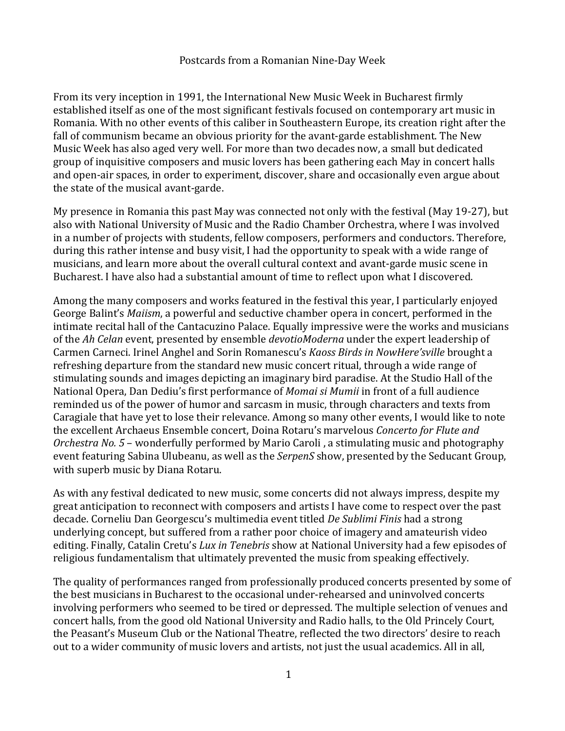## Postcards from a Romanian Nine-Day Week

From its very inception in 1991, the International New Music Week in Bucharest firmly established itself as one of the most significant festivals focused on contemporary art music in Romania. With no other events of this caliber in Southeastern Europe, its creation right after the fall of communism became an obvious priority for the avant-garde establishment. The New Music Week has also aged very well. For more than two decades now, a small but dedicated group of inquisitive composers and music lovers has been gathering each May in concert halls and open-air spaces, in order to experiment, discover, share and occasionally even argue about the state of the musical avant-garde.

My presence in Romania this past May was connected not only with the festival (May 19-27), but also with National University of Music and the Radio Chamber Orchestra, where I was involved in a number of projects with students, fellow composers, performers and conductors. Therefore, during this rather intense and busy visit. I had the opportunity to speak with a wide range of musicians, and learn more about the overall cultural context and avant-garde music scene in Bucharest. I have also had a substantial amount of time to reflect upon what I discovered.

Among the many composers and works featured in the festival this year, I particularly enjoyed George Balint's *Maiism*, a powerful and seductive chamber opera in concert, performed in the intimate recital hall of the Cantacuzino Palace. Equally impressive were the works and musicians of the *Ah Celan* event, presented by ensemble *devotioModerna* under the expert leadership of Carmen Carneci. Irinel Anghel and Sorin Romanescu's *Kaoss Birds in NowHere'sville* brought a refreshing departure from the standard new music concert ritual, through a wide range of stimulating sounds and images depicting an imaginary bird paradise. At the Studio Hall of the National Opera, Dan Dediu's first performance of *Momai si Mumii* in front of a full audience reminded us of the power of humor and sarcasm in music, through characters and texts from Caragiale that have yet to lose their relevance. Among so many other events, I would like to note the excellent Archaeus Ensemble concert, Doina Rotaru's marvelous *Concerto for Flute and Orchestra No.* 5 – wonderfully performed by Mario Caroli, a stimulating music and photography event featuring Sabina Ulubeanu, as well as the *SerpenS* show, presented by the Seducant Group, with superb music by Diana Rotaru.

As with any festival dedicated to new music, some concerts did not always impress, despite my great anticipation to reconnect with composers and artists I have come to respect over the past decade. Corneliu Dan Georgescu's multimedia event titled *De Sublimi Finis* had a strong underlying concept, but suffered from a rather poor choice of imagery and amateurish video editing. Finally, Catalin Cretu's *Lux in Tenebris* show at National University had a few episodes of religious fundamentalism that ultimately prevented the music from speaking effectively.

The quality of performances ranged from professionally produced concerts presented by some of the best musicians in Bucharest to the occasional under-rehearsed and uninvolved concerts involving performers who seemed to be tired or depressed. The multiple selection of venues and concert halls, from the good old National University and Radio halls, to the Old Princely Court, the Peasant's Museum Club or the National Theatre, reflected the two directors' desire to reach out to a wider community of music lovers and artists, not just the usual academics. All in all,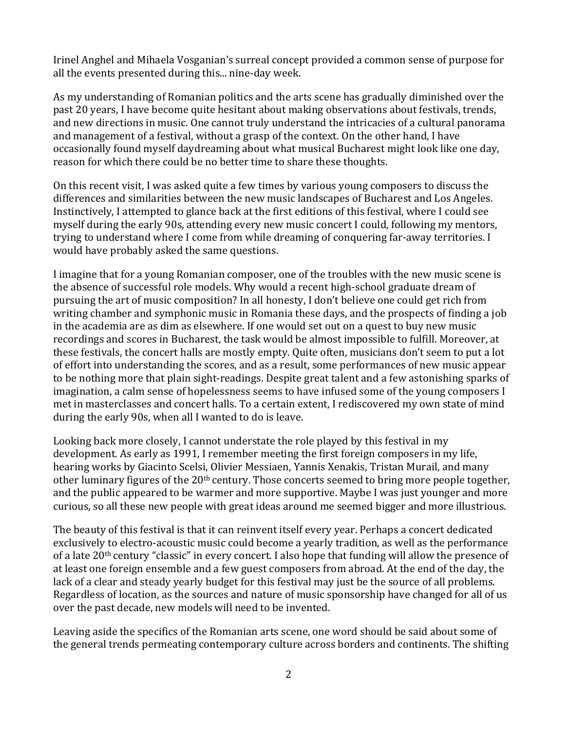Irinel Anghel and Mihaela Vosganian's surreal concept provided a common sense of purpose for all the events presented during this... nine-day week.

As my understanding of Romanian politics and the arts scene has gradually diminished over the past 20 years, I have become quite hesitant about making observations about festivals, trends, and new directions in music. One cannot truly understand the intricacies of a cultural panorama and management of a festival, without a grasp of the context. On the other hand, I have occasionally found myself daydreaming about what musical Bucharest might look like one day, reason for which there could be no better time to share these thoughts.

On this recent visit, I was asked quite a few times by various young composers to discuss the differences and similarities between the new music landscapes of Bucharest and Los Angeles. Instinctively, I attempted to glance back at the first editions of this festival, where I could see myself during the early 90s, attending every new music concert I could, following my mentors, trying to understand where I come from while dreaming of conquering far-away territories. I would have probably asked the same questions.

I imagine that for a young Romanian composer, one of the troubles with the new music scene is the absence of successful role models. Why would a recent high-school graduate dream of pursuing the art of music composition? In all honesty, I don't believe one could get rich from writing chamber and symphonic music in Romania these days, and the prospects of finding a job in the academia are as dim as elsewhere. If one would set out on a quest to buy new music recordings and scores in Bucharest, the task would be almost impossible to fulfill. Moreover, at these festivals, the concert halls are mostly empty. Quite often, musicians don't seem to put a lot of effort into understanding the scores, and as a result, some performances of new music appear to be nothing more that plain sight-readings. Despite great talent and a few astonishing sparks of imagination, a calm sense of hopelessness seems to have infused some of the young composers I met in masterclasses and concert halls. To a certain extent, I rediscovered my own state of mind during the early 90s, when all I wanted to do is leave.

Looking back more closely, I cannot understate the role played by this festival in my development. As early as 1991, I remember meeting the first foreign composers in my life, hearing works by Giacinto Scelsi, Olivier Messiaen, Yannis Xenakis, Tristan Murail, and many other luminary figures of the 20<sup>th</sup> century. Those concerts seemed to bring more people together, and the public appeared to be warmer and more supportive. Maybe I was just younger and more curious, so all these new people with great ideas around me seemed bigger and more illustrious.

The beauty of this festival is that it can reinvent itself every year. Perhaps a concert dedicated exclusively to electro-acoustic music could become a yearly tradition, as well as the performance of a late  $20<sup>th</sup>$  century "classic" in every concert. I also hope that funding will allow the presence of at least one foreign ensemble and a few guest composers from abroad. At the end of the day, the lack of a clear and steady yearly budget for this festival may just be the source of all problems. Regardless of location, as the sources and nature of music sponsorship have changed for all of us over the past decade, new models will need to be invented.

Leaving aside the specifics of the Romanian arts scene, one word should be said about some of the general trends permeating contemporary culture across borders and continents. The shifting